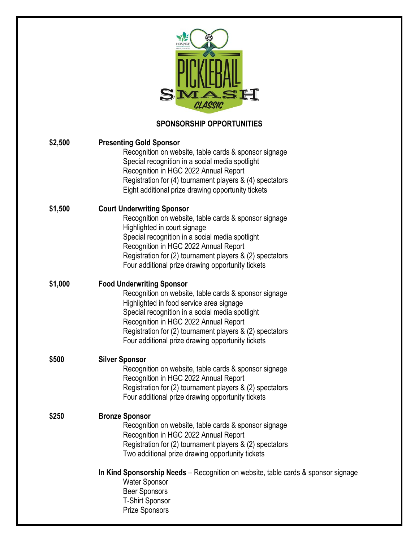|         | CLASSIC                                                                                                                                                                                                                                                                                                                                            |
|---------|----------------------------------------------------------------------------------------------------------------------------------------------------------------------------------------------------------------------------------------------------------------------------------------------------------------------------------------------------|
|         | <b>SPONSORSHIP OPPORTUNITIES</b>                                                                                                                                                                                                                                                                                                                   |
| \$2,500 | <b>Presenting Gold Sponsor</b><br>Recognition on website, table cards & sponsor signage<br>Special recognition in a social media spotlight<br>Recognition in HGC 2022 Annual Report<br>Registration for (4) tournament players & (4) spectators<br>Eight additional prize drawing opportunity tickets                                              |
| \$1,500 | <b>Court Underwriting Sponsor</b><br>Recognition on website, table cards & sponsor signage<br>Highlighted in court signage<br>Special recognition in a social media spotlight<br>Recognition in HGC 2022 Annual Report<br>Registration for (2) tournament players & (2) spectators<br>Four additional prize drawing opportunity tickets            |
| \$1,000 | <b>Food Underwriting Sponsor</b><br>Recognition on website, table cards & sponsor signage<br>Highlighted in food service area signage<br>Special recognition in a social media spotlight<br>Recognition in HGC 2022 Annual Report<br>Registration for (2) tournament players & (2) spectators<br>Four additional prize drawing opportunity tickets |
| \$500   | <b>Silver Sponsor</b><br>Recognition on website, table cards & sponsor signage<br>Recognition in HGC 2022 Annual Report<br>Registration for (2) tournament players & (2) spectators<br>Four additional prize drawing opportunity tickets                                                                                                           |
| \$250   | <b>Bronze Sponsor</b><br>Recognition on website, table cards & sponsor signage<br>Recognition in HGC 2022 Annual Report<br>Registration for (2) tournament players & (2) spectators<br>Two additional prize drawing opportunity tickets                                                                                                            |
|         | In Kind Sponsorship Needs – Recognition on website, table cards & sponsor signage<br><b>Water Sponsor</b><br><b>Beer Sponsors</b><br><b>T-Shirt Sponsor</b><br><b>Prize Sponsors</b>                                                                                                                                                               |